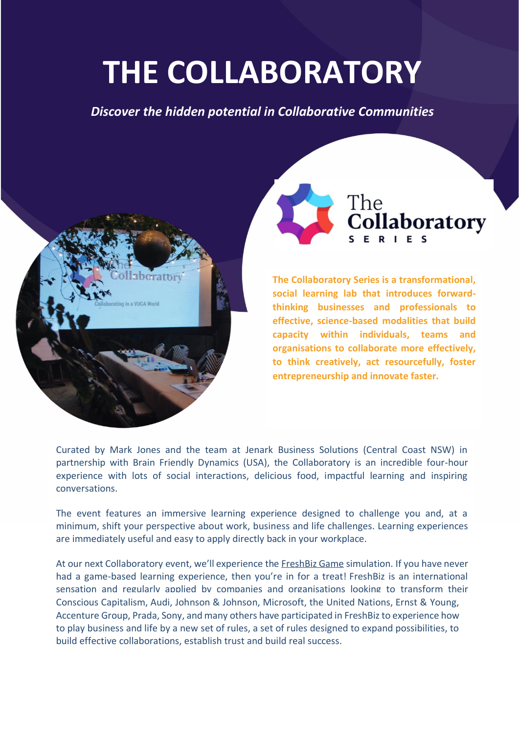# **THE COLLABORATORY**

*Discover the hidden potential in Collaborative Communities*





**The Collaboratory Series is a transformational, social learning lab that introduces forwardthinking businesses and professionals to effective, science-based modalities that build capacity within individuals, teams and organisations to collaborate more effectively, to think creatively, act resourcefully, foster entrepreneurship and innovate faster.**

Curated by Mark Jones and the team at Jenark Business Solutions (Central Coast NSW) in partnership with Brain Friendly Dynamics (USA), the Collaboratory is an incredible four-hour experience with lots of social interactions, delicious food, impactful learning and inspiring conversations.

The event features an immersive learning experience designed to challenge you and, at a minimum, shift your perspective about work, business and life challenges. Learning experiences are immediately useful and easy to apply directly back in your workplace.

At our next Collaboratory event, we'll experience the [FreshBiz Game](https://www.freshbizgame.com/) simulation. If you have never had a game-based learning experience, then you're in for a treat! FreshBiz is an international sensation and regularly applied by companies and organisations looking to transform their Conscious Capitalism, Audi, Johnson & Johnson, Microsoft, the United Nations, Ernst & Young, Accenture Group, Prada, Sony, and many others have participated in FreshBiz to experience how to play business and life by a new set of rules, a set of rules designed to expand possibilities, to build effective collaborations, establish trust and build real success.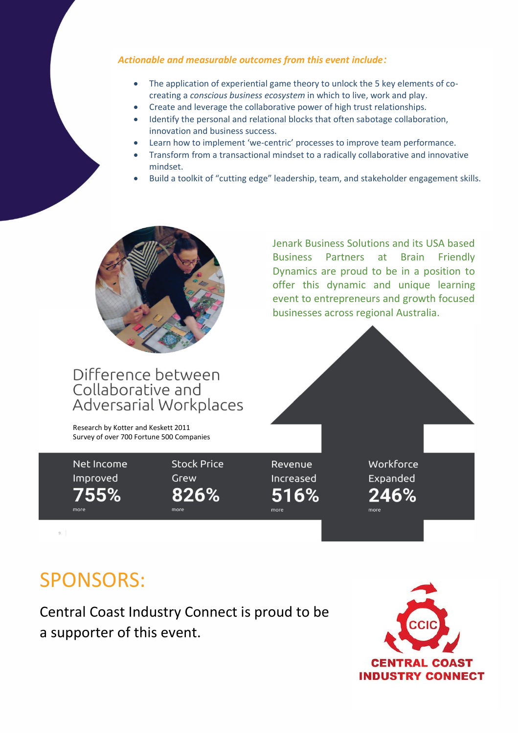#### *Actionable and measurable outcomes from this event include:*

- The application of experiential game theory to unlock the 5 key elements of cocreating a *conscious business ecosystem* in which to live, work and play.
- Create and leverage the collaborative power of high trust relationships.
- Identify the personal and relational blocks that often sabotage collaboration, innovation and business success.
- Learn how to implement 'we-centric' processes to improve team performance.
- Transform from a transactional mindset to a radically collaborative and innovative mindset.
- Build a toolkit of "cutting edge" leadership, team, and stakeholder engagement skills.



#### Difference between Collaborative and Adversarial Workplaces

Research by Kotter and Keskett 2011 Survey of over 700 Fortune 500 Companies

Net Income Improved 755%

more

**Stock Price** Grew 826%

more

Revenue Increased 516%

more

Workforce Expanded 246%

Jenark Business Solutions and its USA based Business Partners at Brain Friendly Dynamics are proud to be in a position to offer this dynamic and unique learning event to entrepreneurs and growth focused

businesses across regional Australia.

## SPONSORS:

Central Coast Industry Connect is proud to be a supporter of this event.